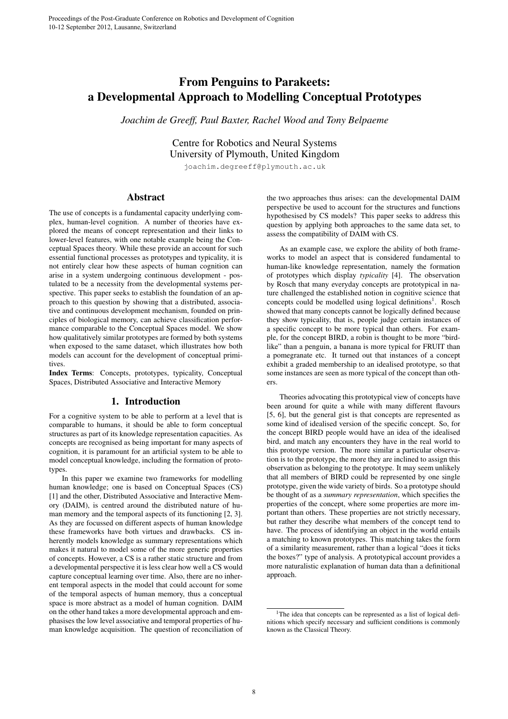# From Penguins to Parakeets: a Developmental Approach to Modelling Conceptual Prototypes

*Joachim de Greeff, Paul Baxter, Rachel Wood and Tony Belpaeme*

Centre for Robotics and Neural Systems University of Plymouth, United Kingdom

joachim.degreeff@plymouth.ac.uk

# Abstract

The use of concepts is a fundamental capacity underlying complex, human-level cognition. A number of theories have explored the means of concept representation and their links to lower-level features, with one notable example being the Conceptual Spaces theory. While these provide an account for such essential functional processes as prototypes and typicality, it is not entirely clear how these aspects of human cognition can arise in a system undergoing continuous development - postulated to be a necessity from the developmental systems perspective. This paper seeks to establish the foundation of an approach to this question by showing that a distributed, associative and continuous development mechanism, founded on principles of biological memory, can achieve classification performance comparable to the Conceptual Spaces model. We show how qualitatively similar prototypes are formed by both systems when exposed to the same dataset, which illustrates how both models can account for the development of conceptual primitives.

Index Terms: Concepts, prototypes, typicality, Conceptual Spaces, Distributed Associative and Interactive Memory

# 1. Introduction

For a cognitive system to be able to perform at a level that is comparable to humans, it should be able to form conceptual structures as part of its knowledge representation capacities. As concepts are recognised as being important for many aspects of cognition, it is paramount for an artificial system to be able to model conceptual knowledge, including the formation of prototypes.

In this paper we examine two frameworks for modelling human knowledge; one is based on Conceptual Spaces (CS) [1] and the other, Distributed Associative and Interactive Memory (DAIM), is centred around the distributed nature of human memory and the temporal aspects of its functioning [2, 3]. As they are focussed on different aspects of human knowledge these frameworks have both virtues and drawbacks. CS inherently models knowledge as summary representations which makes it natural to model some of the more generic properties of concepts. However, a CS is a rather static structure and from a developmental perspective it is less clear how well a CS would capture conceptual learning over time. Also, there are no inherent temporal aspects in the model that could account for some of the temporal aspects of human memory, thus a conceptual space is more abstract as a model of human cognition. DAIM on the other hand takes a more developmental approach and emphasises the low level associative and temporal properties of human knowledge acquisition. The question of reconciliation of the two approaches thus arises: can the developmental DAIM perspective be used to account for the structures and functions hypothesised by CS models? This paper seeks to address this question by applying both approaches to the same data set, to assess the compatibility of DAIM with CS.

As an example case, we explore the ability of both frameworks to model an aspect that is considered fundamental to human-like knowledge representation, namely the formation of prototypes which display *typicality* [4]. The observation by Rosch that many everyday concepts are prototypical in nature challenged the established notion in cognitive science that concepts could be modelled using logical definitions<sup>1</sup>. Rosch showed that many concepts cannot be logically defined because they show typicality, that is, people judge certain instances of a specific concept to be more typical than others. For example, for the concept BIRD, a robin is thought to be more "birdlike" than a penguin, a banana is more typical for FRUIT than a pomegranate etc. It turned out that instances of a concept exhibit a graded membership to an idealised prototype, so that some instances are seen as more typical of the concept than others.

Theories advocating this prototypical view of concepts have been around for quite a while with many different flavours [5, 6], but the general gist is that concepts are represented as some kind of idealised version of the specific concept. So, for the concept BIRD people would have an idea of the idealised bird, and match any encounters they have in the real world to this prototype version. The more similar a particular observation is to the prototype, the more they are inclined to assign this observation as belonging to the prototype. It may seem unlikely that all members of BIRD could be represented by one single prototype, given the wide variety of birds. So a prototype should be thought of as a *summary representation*, which specifies the properties of the concept, where some properties are more important than others. These properties are not strictly necessary, but rather they describe what members of the concept tend to have. The process of identifying an object in the world entails a matching to known prototypes. This matching takes the form of a similarity measurement, rather than a logical "does it ticks the boxes?" type of analysis. A prototypical account provides a more naturalistic explanation of human data than a definitional approach.

<sup>&</sup>lt;sup>1</sup>The idea that concepts can be represented as a list of logical definitions which specify necessary and sufficient conditions is commonly known as the Classical Theory.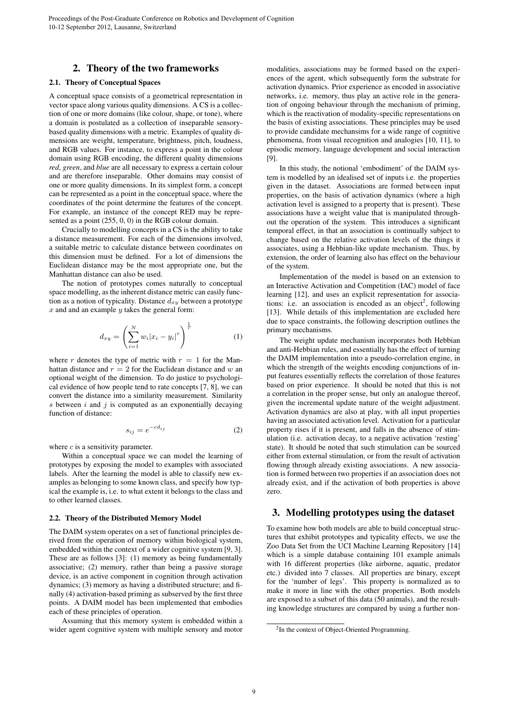## 2. Theory of the two frameworks

#### 2.1. Theory of Conceptual Spaces

A conceptual space consists of a geometrical representation in vector space along various quality dimensions. A CS is a collection of one or more domains (like colour, shape, or tone), where a domain is postulated as a collection of inseparable sensorybased quality dimensions with a metric. Examples of quality dimensions are weight, temperature, brightness, pitch, loudness, and RGB values. For instance, to express a point in the colour domain using RGB encoding, the different quality dimensions *red*, *green*, and *blue* are all necessary to express a certain colour and are therefore inseparable. Other domains may consist of one or more quality dimensions. In its simplest form, a concept can be represented as a point in the conceptual space, where the coordinates of the point determine the features of the concept. For example, an instance of the concept RED may be represented as a point (255, 0, 0) in the RGB colour domain.

Crucially to modelling concepts in a CS is the ability to take a distance measurement. For each of the dimensions involved, a suitable metric to calculate distance between coordinates on this dimension must be defined. For a lot of dimensions the Euclidean distance may be the most appropriate one, but the Manhattan distance can also be used.

The notion of prototypes comes naturally to conceptual space modelling, as the inherent distance metric can easily function as a notion of typicality. Distance  $d_{xy}$  between a prototype  $x$  and and an example  $y$  takes the general form:

$$
d_{xy} = \left(\sum_{i=1}^{N} w_i |x_i - y_i|^r\right)^{\frac{1}{r}}
$$
 (1)

where r denotes the type of metric with  $r = 1$  for the Manhattan distance and  $r = 2$  for the Euclidean distance and w an optional weight of the dimension. To do justice to psychological evidence of how people tend to rate concepts [7, 8], we can convert the distance into a similarity measurement. Similarity s between  $i$  and  $j$  is computed as an exponentially decaying function of distance:

$$
s_{ij} = e^{-cd_{ij}} \tag{2}
$$

where  $c$  is a sensitivity parameter.

Within a conceptual space we can model the learning of prototypes by exposing the model to examples with associated labels. After the learning the model is able to classify new examples as belonging to some known class, and specify how typical the example is, i.e. to what extent it belongs to the class and to other learned classes.

#### 2.2. Theory of the Distributed Memory Model

The DAIM system operates on a set of functional principles derived from the operation of memory within biological system, embedded within the context of a wider cognitive system [9, 3]. These are as follows [3]: (1) memory as being fundamentally associative; (2) memory, rather than being a passive storage device, is an active component in cognition through activation dynamics; (3) memory as having a distributed structure; and finally (4) activation-based priming as subserved by the first three points. A DAIM model has been implemented that embodies each of these principles of operation.

Assuming that this memory system is embedded within a wider agent cognitive system with multiple sensory and motor

modalities, associations may be formed based on the experiences of the agent, which subsequently form the substrate for activation dynamics. Prior experience as encoded in associative networks, i.e. memory, thus play an active role in the generation of ongoing behaviour through the mechanism of priming, which is the reactivation of modality-specific representations on the basis of existing associations. These principles may be used to provide candidate mechansims for a wide range of cognitive phenomena, from visual recognition and analogies [10, 11], to episodic memory, language development and social interaction [9].

In this study, the notional 'embodiment' of the DAIM system is modelled by an idealised set of inputs i.e. the properties given in the dataset. Associations are formed between input properties, on the basis of activation dynamics (where a high activation level is assigned to a property that is present). These associations have a weight value that is manipulated throughout the operation of the system. This introduces a significant temporal effect, in that an association is continually subject to change based on the relative activation levels of the things it associates, using a Hebbian-like update mechanism. Thus, by extension, the order of learning also has effect on the behaviour of the system.

Implementation of the model is based on an extension to an Interactive Activation and Competition (IAC) model of face learning [12], and uses an explicit representation for associations: i.e. an association is encoded as an object<sup>2</sup>, following [13]. While details of this implementation are excluded here due to space constraints, the following description outlines the primary mechanisms.

The weight update mechanism incorporates both Hebbian and anti-Hebbian rules, and essentially has the effect of turning the DAIM implementation into a pseudo-correlation engine, in which the strength of the weights encoding conjunctions of input features essentially reflects the correlation of those features based on prior experience. It should be noted that this is not a correlation in the proper sense, but only an analogue thereof, given the incremental update nature of the weight adjustment. Activation dynamics are also at play, with all input properties having an associated activation level. Activation for a particular property rises if it is present, and falls in the absence of stimulation (i.e. activation decay, to a negative activation 'resting' state). It should be noted that such stimulation can be sourced either from external stimulation, or from the result of activation flowing through already existing associations. A new association is formed between two properties if an association does not already exist, and if the activation of both properties is above zero.

# 3. Modelling prototypes using the dataset

To examine how both models are able to build conceptual structures that exhibit prototypes and typicality effects, we use the Zoo Data Set from the UCI Machine Learning Repository [14] which is a simple database containing 101 example animals with 16 different properties (like airborne, aquatic, predator etc.) divided into 7 classes. All properties are binary, except for the 'number of legs'. This property is normalized as to make it more in line with the other properties. Both models are exposed to a subset of this data (50 animals), and the resulting knowledge structures are compared by using a further non-

<sup>&</sup>lt;sup>2</sup>In the context of Object-Oriented Programming.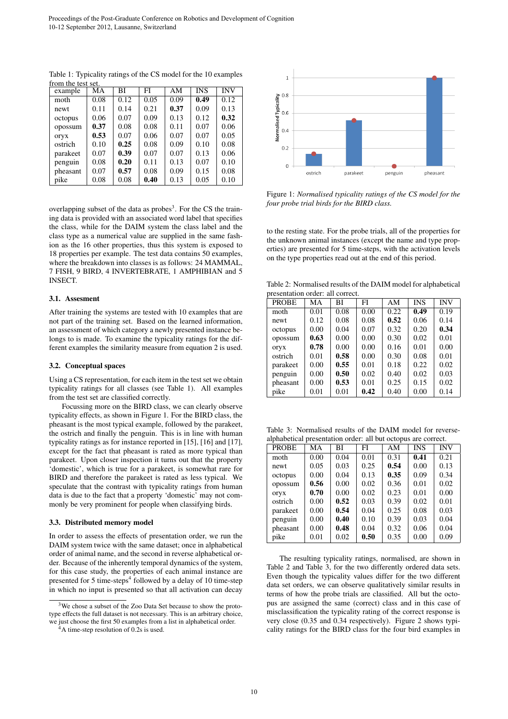| example  | MА   | ВI   | FI   | AΜ   | <b>INS</b> | <b>INV</b> |
|----------|------|------|------|------|------------|------------|
| moth     | 0.08 | 0.12 | 0.05 | 0.09 | 0.49       | 0.12       |
| newt     | 0.11 | 0.14 | 0.21 | 0.37 | 0.09       | 0.13       |
| octopus  | 0.06 | 0.07 | 0.09 | 0.13 | 0.12       | 0.32       |
| opossum  | 0.37 | 0.08 | 0.08 | 0.11 | 0.07       | 0.06       |
| oryx     | 0.53 | 0.07 | 0.06 | 0.07 | 0.07       | 0.05       |
| ostrich  | 0.10 | 0.25 | 0.08 | 0.09 | 0.10       | 0.08       |
| parakeet | 0.07 | 0.39 | 0.07 | 0.07 | 0.13       | 0.06       |
| penguin  | 0.08 | 0.20 | 0.11 | 0.13 | 0.07       | 0.10       |
| pheasant | 0.07 | 0.57 | 0.08 | 0.09 | 0.15       | 0.08       |
| pike     | 0.08 | 0.08 | 0.40 | 0.13 | 0.05       | 0.10       |

Table 1: Typicality ratings of the CS model for the 10 examples from the test set

overlapping subset of the data as probes<sup>3</sup>. For the CS the training data is provided with an associated word label that specifies the class, while for the DAIM system the class label and the class type as a numerical value are supplied in the same fashion as the 16 other properties, thus this system is exposed to 18 properties per example. The test data contains 50 examples, where the breakdown into classes is as follows: 24 MAMMAL, 7 FISH, 9 BIRD, 4 INVERTEBRATE, 1 AMPHIBIAN and 5 INSECT.

#### 3.1. Assesment

After training the systems are tested with 10 examples that are not part of the training set. Based on the learned information, an assessment of which category a newly presented instance belongs to is made. To examine the typicality ratings for the different examples the similarity measure from equation 2 is used.

#### 3.2. Conceptual spaces

Using a CS representation, for each item in the test set we obtain typicality ratings for all classes (see Table 1). All examples from the test set are classified correctly.

Focussing more on the BIRD class, we can clearly observe typicality effects, as shown in Figure 1. For the BIRD class, the pheasant is the most typical example, followed by the parakeet, the ostrich and finally the penguin. This is in line with human typicality ratings as for instance reported in [15], [16] and [17], except for the fact that pheasant is rated as more typical than parakeet. Upon closer inspection it turns out that the property 'domestic', which is true for a parakeet, is somewhat rare for BIRD and therefore the parakeet is rated as less typical. We speculate that the contrast with typicality ratings from human data is due to the fact that a property 'domestic' may not commonly be very prominent for people when classifying birds.

#### 3.3. Distributed memory model

In order to assess the effects of presentation order, we run the DAIM system twice with the same dataset; once in alphabetical order of animal name, and the second in reverse alphabetical order. Because of the inherently temporal dynamics of the system, for this case study, the properties of each animal instance are presented for 5 time-steps<sup>4</sup> followed by a delay of 10 time-step in which no input is presented so that all activation can decay



Figure 1: *Normalised typicality ratings of the CS model for the four probe trial birds for the BIRD class.*

to the resting state. For the probe trials, all of the properties for the unknown animal instances (except the name and type properties) are presented for 5 time-steps, with the activation levels on the type properties read out at the end of this period.

Table 2: Normalised results of the DAIM model for alphabetical presentation order: all correct.

| 21090110001011 01001. 011 0011000. |      |      |      |      |            |            |  |  |
|------------------------------------|------|------|------|------|------------|------------|--|--|
| <b>PROBE</b>                       | MA   | ВI   | FI   | AM   | <b>INS</b> | <b>INV</b> |  |  |
| moth                               | 0.01 | 0.08 | 0.00 | 0.22 | 0.49       | 0.19       |  |  |
| newt                               | 0.12 | 0.08 | 0.08 | 0.52 | 0.06       | 0.14       |  |  |
| octopus                            | 0.00 | 0.04 | 0.07 | 0.32 | 0.20       | 0.34       |  |  |
| opossum                            | 0.63 | 0.00 | 0.00 | 0.30 | 0.02       | 0.01       |  |  |
| oryx                               | 0.78 | 0.00 | 0.00 | 0.16 | 0.01       | 0.00       |  |  |
| ostrich                            | 0.01 | 0.58 | 0.00 | 0.30 | 0.08       | 0.01       |  |  |
| parakeet                           | 0.00 | 0.55 | 0.01 | 0.18 | 0.22       | 0.02       |  |  |
| penguin                            | 0.00 | 0.50 | 0.02 | 0.40 | 0.02       | 0.03       |  |  |
| pheasant                           | 0.00 | 0.53 | 0.01 | 0.25 | 0.15       | 0.02       |  |  |
| pike                               | 0.01 | 0.01 | 0.42 | 0.40 | 0.00       | 0.14       |  |  |

Table 3: Normalised results of the DAIM model for reversealphabetical presentation order: all but octopus are correct.

| uiphuovireur presentanton order, un out setopus ure confect. |      |      |      |            |            |  |  |
|--------------------------------------------------------------|------|------|------|------------|------------|--|--|
| МA                                                           | ВI   | FI   | AM   | <b>INS</b> | <b>INV</b> |  |  |
| 0.00                                                         | 0.04 | 0.01 | 0.31 | 0.41       | 0.21       |  |  |
| 0.05                                                         | 0.03 | 0.25 | 0.54 | 0.00       | 0.13       |  |  |
| 0.00                                                         | 0.04 | 0.13 | 0.35 | 0.09       | 0.34       |  |  |
| 0.56                                                         | 0.00 | 0.02 | 0.36 | 0.01       | 0.02       |  |  |
| 0.70                                                         | 0.00 | 0.02 | 0.23 | 0.01       | 0.00       |  |  |
| 0.00                                                         | 0.52 | 0.03 | 0.39 | 0.02       | 0.01       |  |  |
| 0.00                                                         | 0.54 | 0.04 | 0.25 | 0.08       | 0.03       |  |  |
| 0.00                                                         | 0.40 | 0.10 | 0.39 | 0.03       | 0.04       |  |  |
| 0.00                                                         | 0.48 | 0.04 | 0.32 | 0.06       | 0.04       |  |  |
| 0.01                                                         | 0.02 | 0.50 | 0.35 | 0.00       | 0.09       |  |  |
|                                                              |      |      |      |            |            |  |  |

The resulting typicality ratings, normalised, are shown in Table 2 and Table 3, for the two differently ordered data sets. Even though the typicality values differ for the two different data set orders, we can observe qualitatively similar results in terms of how the probe trials are classified. All but the octopus are assigned the same (correct) class and in this case of misclassification the typicality rating of the correct response is very close (0.35 and 0.34 respectively). Figure 2 shows typicality ratings for the BIRD class for the four bird examples in

<sup>3</sup>We chose a subset of the Zoo Data Set because to show the prototype effects the full dataset is not necessary. This is an arbitrary choice, we just choose the first 50 examples from a list in alphabetical order.

<sup>&</sup>lt;sup>4</sup>A time-step resolution of 0.2s is used.